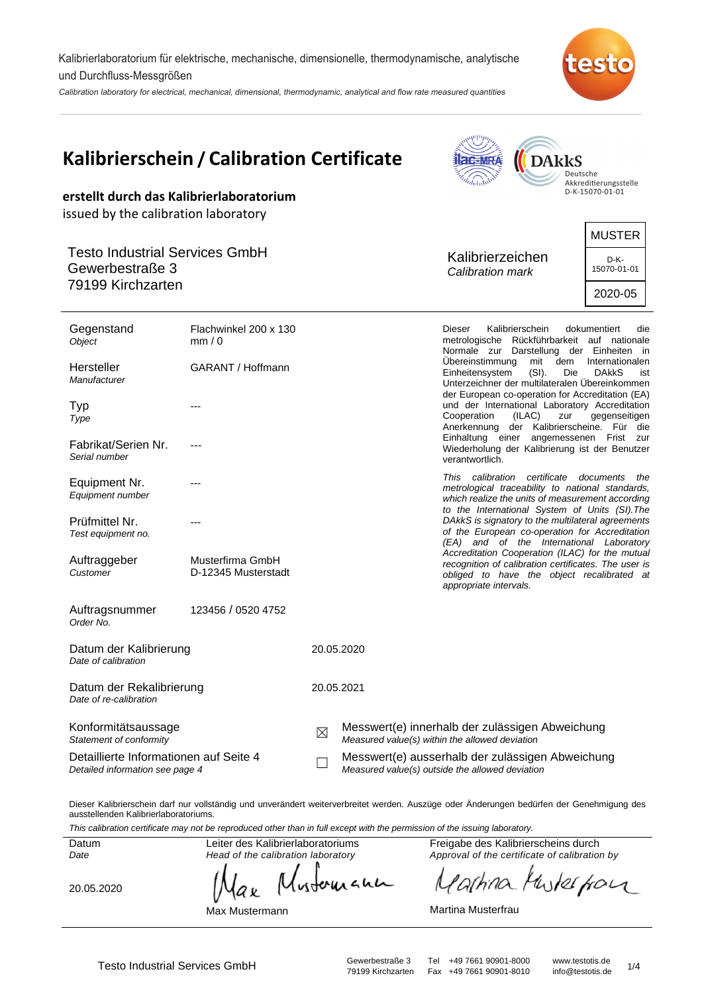Kalibrierlaboratorium für elektrische, mechanische, dimensionelle, thermodynamische, analytische und Durchfluss-Messgrößen

Calibration laboratory for electrical, mechanical, dimensional, thermodynamic, analytical and flow rate measured quantities



|                                                                                  | Kalibrierschein / Calibration Certificate |             |                                                                                                     | <b>ac-MRA</b><br>hilab               | <b>DARKS</b>                                                                                                                                           | Deutsche<br>Akkreditierungsstelle               |
|----------------------------------------------------------------------------------|-------------------------------------------|-------------|-----------------------------------------------------------------------------------------------------|--------------------------------------|--------------------------------------------------------------------------------------------------------------------------------------------------------|-------------------------------------------------|
| erstellt durch das Kalibrierlaboratorium<br>issued by the calibration laboratory |                                           |             |                                                                                                     |                                      |                                                                                                                                                        | D-K-15070-01-01                                 |
| <b>Testo Industrial Services GmbH</b><br>Gewerbestraße 3<br>79199 Kirchzarten    |                                           |             |                                                                                                     | Kalibrierzeichen<br>Calibration mark |                                                                                                                                                        | <b>MUSTER</b><br>D-K-<br>15070-01-01<br>2020-05 |
| Gegenstand<br>Object                                                             | Flachwinkel 200 x 130<br>mm/0             |             |                                                                                                     | Dieser                               | Kalibrierschein<br>metrologische Rückführbarkeit auf nationale<br>Normale zur Darstellung der Einheiten in                                             | dokumentiert<br>die                             |
| Hersteller<br>Manufacturer                                                       | GARANT / Hoffmann                         |             |                                                                                                     | Übereinstimmung<br>Einheitensystem   | mit dem<br>$(SI)$ .<br>Die<br>Unterzeichner der multilateralen Übereinkommen<br>der European co-operation for Accreditation (EA)                       | Internationalen<br><b>DAKKS</b><br>ist          |
| Typ<br>Type                                                                      |                                           |             |                                                                                                     | Cooperation                          | und der International Laboratory Accreditation<br>(ILAC)<br>zur<br>Anerkennung der Kalibrierscheine. Für die                                           | gegenseitigen                                   |
| Fabrikat/Serien Nr.<br>Serial number                                             |                                           |             |                                                                                                     | Einhaltung einer<br>verantwortlich.  | Wiederholung der Kalibrierung ist der Benutzer                                                                                                         | angemessenen Frist zur                          |
| Equipment Nr.<br>Equipment number                                                |                                           |             |                                                                                                     | This calibration certificate         | metrological traceability to national standards,<br>which realize the units of measurement according<br>to the International System of Units (SI). The | documents<br>the                                |
| Prüfmittel Nr.<br>Test equipment no.                                             |                                           |             |                                                                                                     |                                      | DAkkS is signatory to the multilateral agreements<br>of the European co-operation for Accreditation<br>(EA) and of the International Laboratory        |                                                 |
| Auftraggeber<br>Customer                                                         | Musterfirma GmbH<br>D-12345 Musterstadt   |             |                                                                                                     | appropriate intervals.               | Accreditation Cooperation (ILAC) for the mutual<br>recognition of calibration certificates. The user is<br>obliged to have the object recalibrated at  |                                                 |
| Auftragsnummer<br>Order No.                                                      | 123456 / 0520 4752                        |             |                                                                                                     |                                      |                                                                                                                                                        |                                                 |
| Datum der Kalibrierung<br>Date of calibration                                    |                                           |             | 20.05.2020                                                                                          |                                      |                                                                                                                                                        |                                                 |
| Datum der Rekalibrierung<br>Date of re-calibration                               |                                           |             | 20.05.2021                                                                                          |                                      |                                                                                                                                                        |                                                 |
| Konformitätsaussage<br>Statement of conformity                                   |                                           | $\boxtimes$ | Messwert(e) innerhalb der zulässigen Abweichung<br>Measured value(s) within the allowed deviation   |                                      |                                                                                                                                                        |                                                 |
| Detaillierte Informationen auf Seite 4<br>Detailed information see page 4        |                                           |             | Messwert(e) ausserhalb der zulässigen Abweichung<br>Measured value(s) outside the allowed deviation |                                      |                                                                                                                                                        |                                                 |

Dieser Kalibrierschein darf nur vollständig und unverändert weiterverbreitet werden. Auszüge oder Änderungen bedürfen der Genehmigung des ausstellenden Kalibrierlaboratoriums.

This calibration certificate may not be reproduced other than in full except with the permission of the issuing laboratory.

Datum Date

20.05.2020

Head of the calibration laboratory whereand аx

Leiter des Kalibrierlaboratoriums

Max Mustermann

Freigabe des Kalibrierscheins durch Approval of the certificate of calibration by

the four 'a(hina Ņ

Martina Musterfrau

Fax +49 7661 90901-8010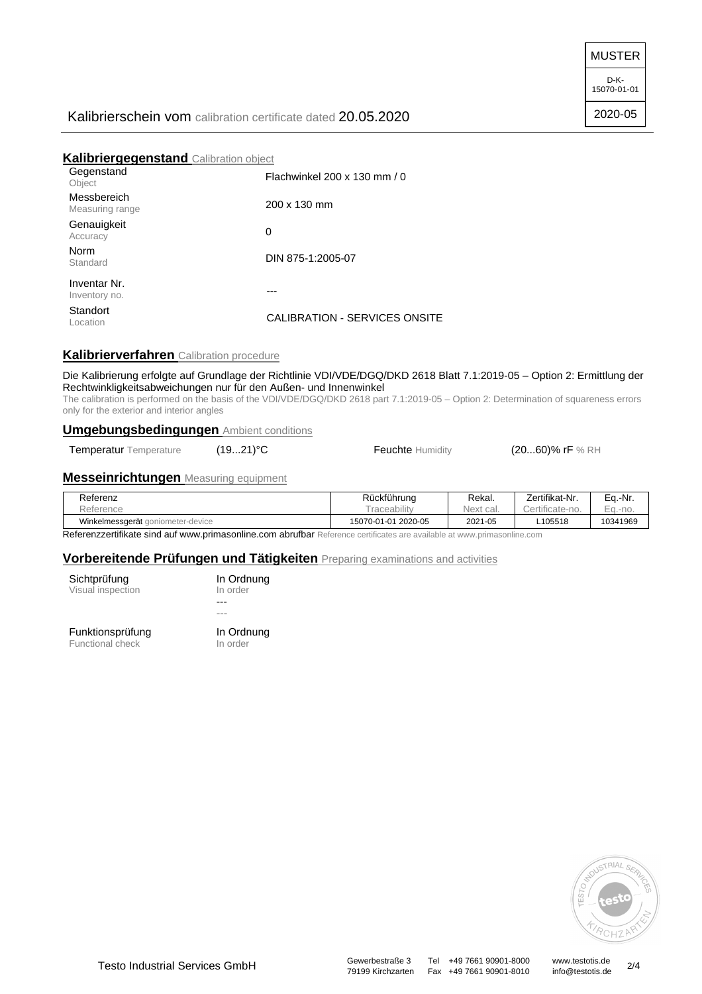MUSTER

D-K-15070-01-01

2020-05

# Kalibrierschein vom calibration certificate dated 20.05.2020

## **Kalibriergegenstand** Calibration object

| Gegenstand<br>Object           | Flachwinkel 200 x 130 mm / 0  |
|--------------------------------|-------------------------------|
| Messbereich<br>Measuring range | $200 \times 130$ mm           |
| Genauigkeit<br>Accuracy        | 0                             |
| Norm<br>Standard               | DIN 875-1:2005-07             |
| Inventar Nr.<br>Inventory no.  |                               |
| Standort<br>Location           | CALIBRATION - SERVICES ONSITE |
|                                |                               |

# **Kalibrierverfahren** Calibration procedure

#### Die Kalibrierung erfolgte auf Grundlage der Richtlinie VDI/VDE/DGQ/DKD 2618 Blatt 7.1:2019-05 – Option 2: Ermittlung der Rechtwinkligkeitsabweichungen nur für den Außen- und Innenwinkel

The calibration is performed on the basis of the VDI/VDE/DGQ/DKD 2618 part 7.1:2019-05 – Option 2: Determination of squareness errors only for the exterior and interior angles

## **Umgebungsbedingungen** Ambient conditions

Temperatur Temperature (19...21)<sup>°</sup>C **Feuchte** Humidity (20...60)% rF % RH

## **Messeinrichtungen** Measuring equipment

| Referenz                          | Rückführung         | Rekal.    | Zertifikat-Nr. | Ea.-Nr.  |
|-----------------------------------|---------------------|-----------|----------------|----------|
| Reference                         | raceability         | Next cal. | ertificate-no. | Ea.-no.  |
| Winkelmessgerät goniometer-device | 15070-01-01 2020-05 | 2021-05   | L105518        | 10341969 |

Referenzzertifikate sind auf www.primasonline.com abrufbar Reference certificates are available at www.primasonline.com

## **Vorbereitende Prüfungen und Tätigkeiten** Preparing examinations and activities

| Sichtprüfung      |  |
|-------------------|--|
| Visual inspection |  |
|                   |  |
|                   |  |

Funktionsprüfung Functional check

--- --- In Ordnung In order

In Ordnung In order



79199 Kirchzarten Fax +49 7661 90901-8010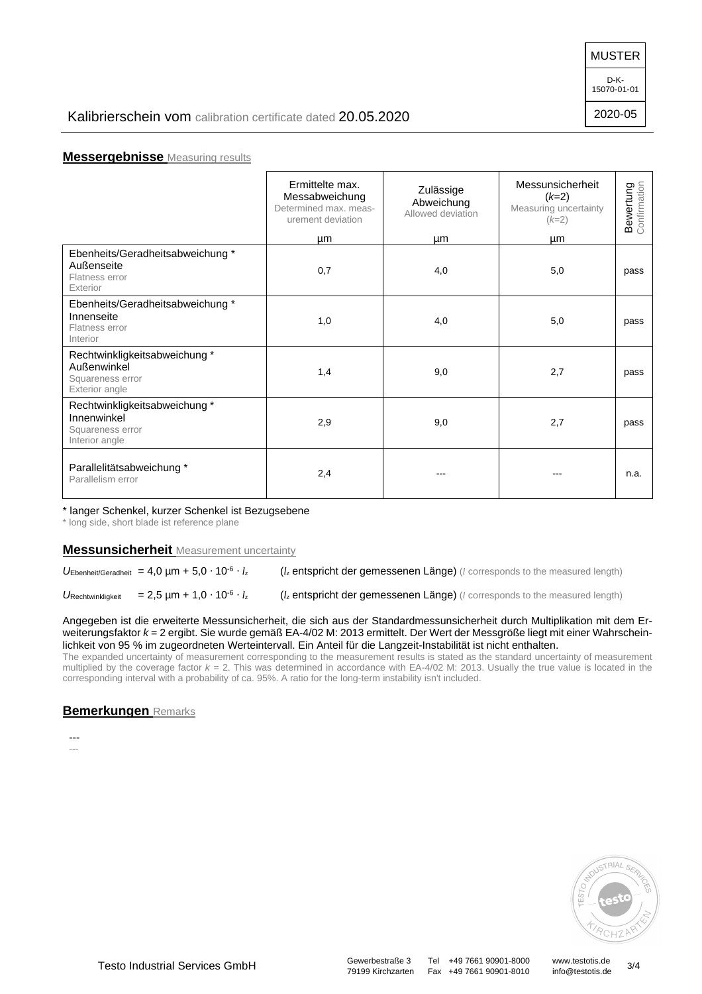MUSTER

D-K-15070-01-01

2020-05

## **Messergebnisse** Measuring results

|                                                                                   | Ermittelte max.<br>Messabweichung<br>Determined max, meas-<br>urement deviation<br>μm | Zulässige<br>Abweichung<br>Allowed deviation<br>μm | Messunsicherheit<br>$(k=2)$<br>Measuring uncertainty<br>$(k=2)$<br>μm | <b>Bewertung</b><br>Confirmation |
|-----------------------------------------------------------------------------------|---------------------------------------------------------------------------------------|----------------------------------------------------|-----------------------------------------------------------------------|----------------------------------|
| Ebenheits/Geradheitsabweichung *<br>Außenseite<br>Flatness error<br>Exterior      | 0,7                                                                                   | 4,0                                                | 5,0                                                                   | pass                             |
| Ebenheits/Geradheitsabweichung *<br>Innenseite<br>Flatness error<br>Interior      | 1,0                                                                                   | 4,0                                                | 5,0                                                                   | pass                             |
| Rechtwinkligkeitsabweichung*<br>Außenwinkel<br>Squareness error<br>Exterior angle | 1,4                                                                                   | 9,0                                                | 2,7                                                                   | pass                             |
| Rechtwinkligkeitsabweichung*<br>Innenwinkel<br>Squareness error<br>Interior angle | 2,9                                                                                   | 9,0                                                | 2,7                                                                   | pass                             |
| Parallelitätsabweichung *<br>Parallelism error                                    | 2,4                                                                                   |                                                    | ---                                                                   | n.a.                             |

#### \* langer Schenkel, kurzer Schenkel ist Bezugsebene

\* long side, short blade ist reference plane

### **Messunsicherheit** Measurement uncertainty

UEbenheit/Geradheit = 4,0 µm + 5,0  $\cdot$  10<sup>-6</sup>  $\cdot$   $l_z$  $(l_z$  entspricht der gemessenen Länge) ( $l$  corresponds to the measured length)

URechtwinkligkeit =  $2,5 \mu m + 1,0 \cdot 10^{-6} \cdot l_z$ ( $l_z$  entspricht der gemessenen Länge) (*l* corresponds to the measured length)

Angegeben ist die erweiterte Messunsicherheit, die sich aus der Standardmessunsicherheit durch Multiplikation mit dem Erweiterungsfaktor k = 2 ergibt. Sie wurde gemäß EA-4/02 M: 2013 ermittelt. Der Wert der Messgröße liegt mit einer Wahrscheinlichkeit von 95 % im zugeordneten Werteintervall. Ein Anteil für die Langzeit-Instabilität ist nicht enthalten.

The expanded uncertainty of measurement corresponding to the measurement results is stated as the standard uncertainty of measurement multiplied by the coverage factor  $k = 2$ . This was determined in accordance with EA-4/02 M: 2013. Usually the true value is located in the corresponding interval with a probability of ca. 95%. A ratio for the long-term instability isn't included.

### **Bemerkungen** Remarks

---